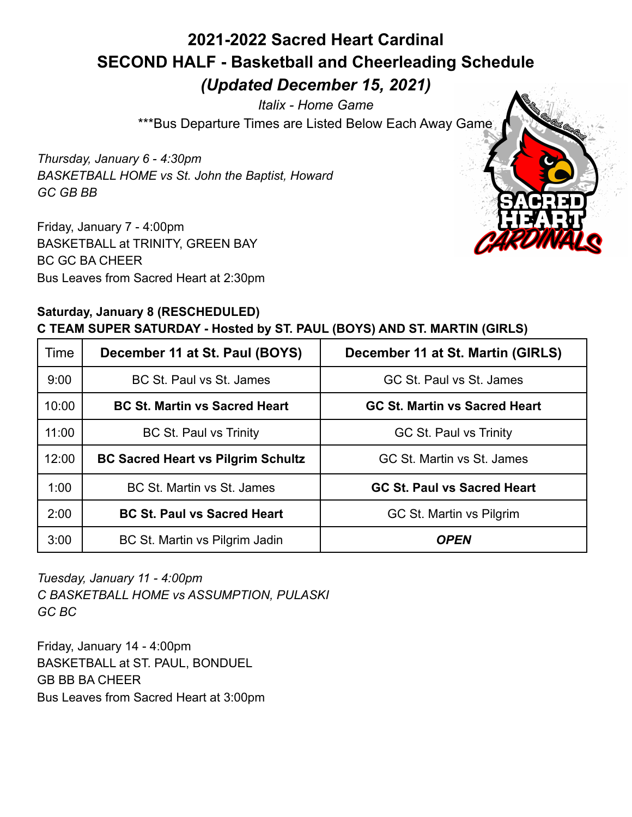# **2021-2022 Sacred Heart Cardinal SECOND HALF - Basketball and Cheerleading Schedule** *(Updated December 15, 2021)*

*Italix - Home Game* \*\*\*Bus Departure Times are Listed Below Each Away Game

*Thursday, January 6 - 4:30pm BASKETBALL HOME vs St. John the Baptist, Howard GC GB BB*

Friday, January 7 - 4:00pm BASKETBALL at TRINITY, GREEN BAY BC GC BA CHEER Bus Leaves from Sacred Heart at 2:30pm



### **Saturday, January 8 (RESCHEDULED) C TEAM SUPER SATURDAY - Hosted by ST. PAUL (BOYS) AND ST. MARTIN (GIRLS)**

| Time  | December 11 at St. Paul (BOYS)            | December 11 at St. Martin (GIRLS)    |
|-------|-------------------------------------------|--------------------------------------|
| 9:00  | BC St. Paul vs St. James                  | GC St. Paul vs St. James             |
| 10:00 | <b>BC St. Martin vs Sacred Heart</b>      | <b>GC St. Martin vs Sacred Heart</b> |
| 11:00 | <b>BC St. Paul vs Trinity</b>             | <b>GC St. Paul vs Trinity</b>        |
| 12:00 | <b>BC Sacred Heart vs Pilgrim Schultz</b> | GC St. Martin vs St. James           |
| 1:00  | BC St. Martin vs St. James                | <b>GC St. Paul vs Sacred Heart</b>   |
| 2:00  | <b>BC St. Paul vs Sacred Heart</b>        | GC St. Martin vs Pilgrim             |
| 3:00  | BC St. Martin vs Pilgrim Jadin            | <b>OPEN</b>                          |

*Tuesday, January 11 - 4:00pm C BASKETBALL HOME vs ASSUMPTION, PULASKI GC BC*

Friday, January 14 - 4:00pm BASKETBALL at ST. PAUL, BONDUEL GB BB BA CHEER Bus Leaves from Sacred Heart at 3:00pm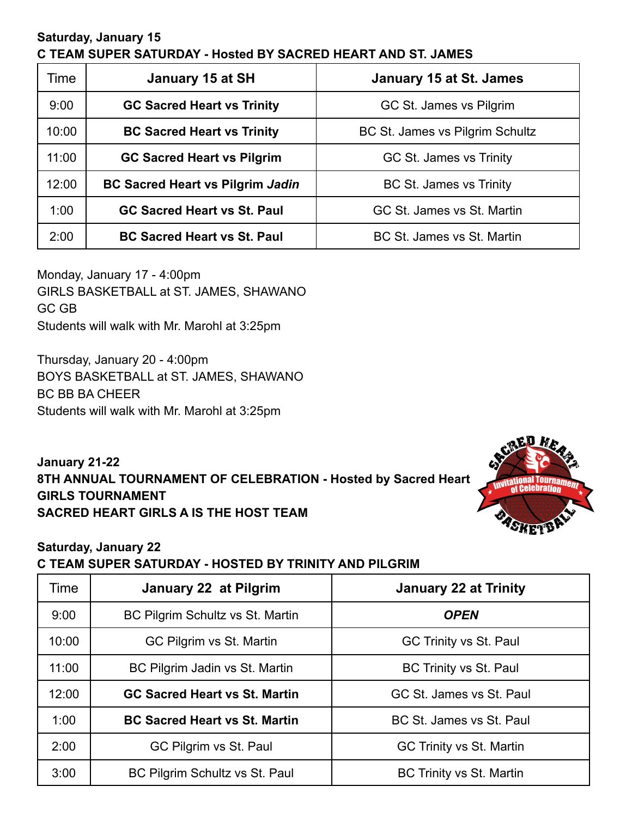#### **Saturday, January 15 C TEAM SUPER SATURDAY - Hosted BY SACRED HEART AND ST. JAMES**

| Time  | January 15 at SH                        | <b>January 15 at St. James</b>  |
|-------|-----------------------------------------|---------------------------------|
| 9:00  | <b>GC Sacred Heart vs Trinity</b>       | GC St. James vs Pilgrim         |
| 10:00 | <b>BC Sacred Heart vs Trinity</b>       | BC St. James vs Pilgrim Schultz |
| 11:00 | <b>GC Sacred Heart vs Pilgrim</b>       | GC St. James vs Trinity         |
| 12:00 | <b>BC Sacred Heart vs Pilgrim Jadin</b> | BC St. James vs Trinity         |
| 1:00  | <b>GC Sacred Heart vs St. Paul</b>      | GC St. James vs St. Martin      |
| 2:00  | <b>BC Sacred Heart vs St. Paul</b>      | BC St. James vs St. Martin      |

Monday, January 17 - 4:00pm GIRLS BASKETBALL at ST. JAMES, SHAWANO GC GB Students will walk with Mr. Marohl at 3:25pm

Thursday, January 20 - 4:00pm BOYS BASKETBALL at ST. JAMES, SHAWANO BC BB BA CHEER Students will walk with Mr. Marohl at 3:25pm

**January 21-22 8TH ANNUAL TOURNAMENT OF CELEBRATION - Hosted by Sacred Heart GIRLS TOURNAMENT SACRED HEART GIRLS A IS THE HOST TEAM**



## **Saturday, January 22 C TEAM SUPER SATURDAY - HOSTED BY TRINITY AND PILGRIM**

| Time  | January 22 at Pilgrim                | <b>January 22 at Trinity</b>    |
|-------|--------------------------------------|---------------------------------|
| 9:00  | BC Pilgrim Schultz vs St. Martin     | <b>OPEN</b>                     |
| 10:00 | GC Pilgrim vs St. Martin             | <b>GC Trinity vs St. Paul</b>   |
| 11:00 | BC Pilgrim Jadin vs St. Martin       | <b>BC Trinity vs St. Paul</b>   |
| 12:00 | <b>GC Sacred Heart vs St. Martin</b> | GC St. James vs St. Paul        |
| 1:00  | <b>BC Sacred Heart vs St. Martin</b> | BC St. James vs St. Paul        |
| 2:00  | GC Pilgrim vs St. Paul               | GC Trinity vs St. Martin        |
| 3:00  | BC Pilgrim Schultz vs St. Paul       | <b>BC Trinity vs St. Martin</b> |